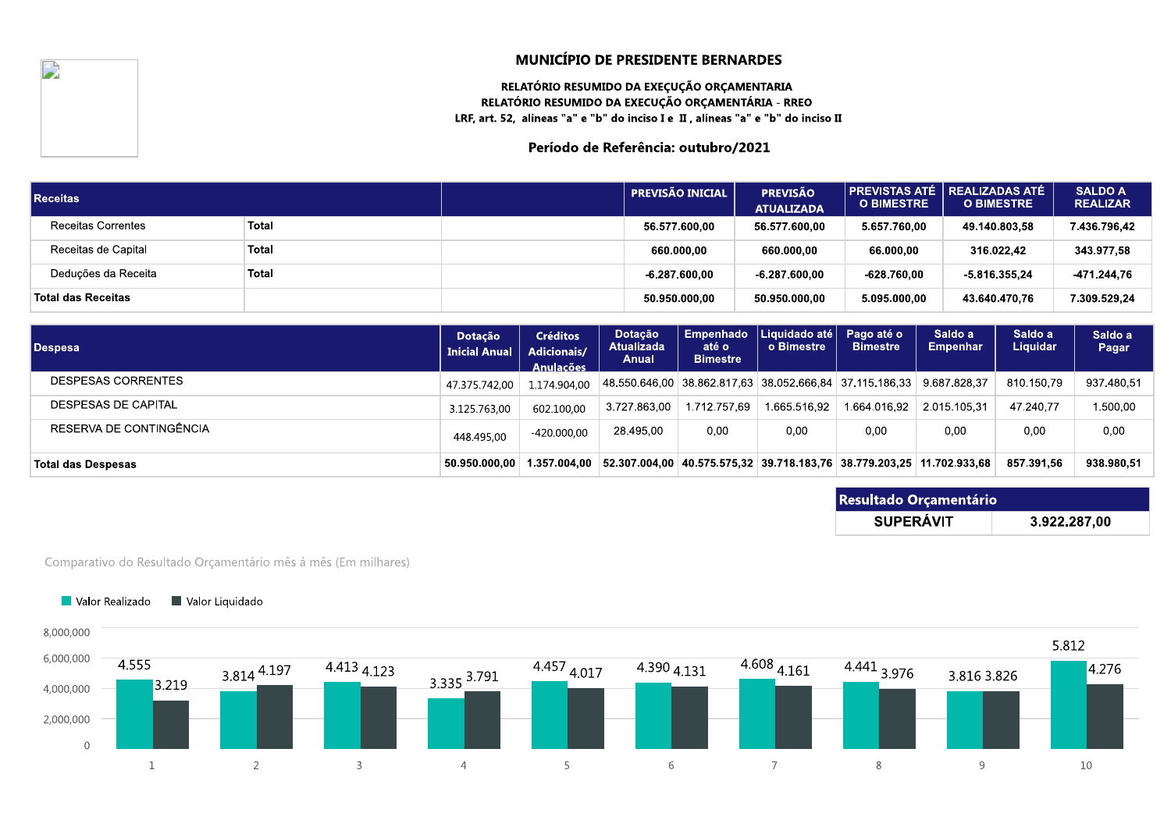# RELATORIO RESUMIDO DA EXEÇUÇÃO ORÇAMENTARIA RELATORIO RESUMIDO DA EXECUÇÃO ORÇAMENTARIA - RREC

| I.                        | <b>MUNICÍPIO DE PRESIDENTE BERNARDES</b><br>RELATÓRIO RESUMIDO DA EXEÇUÇÃO ORÇAMENTARIA<br>RELATÓRIO RESUMIDO DA EXECUÇÃO ORÇAMENTÁRIA - RREO<br>LRF, art. 52, alineas "a" e "b" do inciso I e II, alíneas "a" e "b" do inciso II<br>Período de Referência: outubro/2021<br><b>PREVISTAS ATÉ</b><br><b>REALIZADAS ATÉ</b><br><b>SALDO A</b><br><b>PREVISÃO INICIAL</b><br><b>PREVISÃO</b><br><b>O BIMESTRE</b><br><b>O BIMESTRE</b><br><b>REALIZAR</b><br><b>ATUALIZADA</b><br>Total<br>56.577.600,00<br>56.577.600,00<br>7.436.796,42<br>5.657.760,00<br>49.140.803,58 |  |                 |                 |              |                 |              |  |  |  |  |
|---------------------------|-------------------------------------------------------------------------------------------------------------------------------------------------------------------------------------------------------------------------------------------------------------------------------------------------------------------------------------------------------------------------------------------------------------------------------------------------------------------------------------------------------------------------------------------------------------------------|--|-----------------|-----------------|--------------|-----------------|--------------|--|--|--|--|
| <b>Receitas</b>           |                                                                                                                                                                                                                                                                                                                                                                                                                                                                                                                                                                         |  |                 |                 |              |                 |              |  |  |  |  |
| <b>Receitas Correntes</b> |                                                                                                                                                                                                                                                                                                                                                                                                                                                                                                                                                                         |  |                 |                 |              |                 |              |  |  |  |  |
| Receitas de Capital       | Total                                                                                                                                                                                                                                                                                                                                                                                                                                                                                                                                                                   |  | 660.000,00      | 660.000,00      | 66.000.00    | 316.022,42      | 343.977,58   |  |  |  |  |
| Deduções da Receita       | Total                                                                                                                                                                                                                                                                                                                                                                                                                                                                                                                                                                   |  | $-6.287.600.00$ | $-6.287.600.00$ | -628.760,00  | $-5.816.355.24$ | -471.244,76  |  |  |  |  |
| <b>Total das Receitas</b> |                                                                                                                                                                                                                                                                                                                                                                                                                                                                                                                                                                         |  | 50.950.000,00   | 50.950.000,00   | 5.095.000,00 | 43.640.470.76   | 7.309.529,24 |  |  |  |  |

|                                    |                                                               |                                 |                                                           |                                       | .                                     | <u></u>                                                               |                               |                            |                     | .                |
|------------------------------------|---------------------------------------------------------------|---------------------------------|-----------------------------------------------------------|---------------------------------------|---------------------------------------|-----------------------------------------------------------------------|-------------------------------|----------------------------|---------------------|------------------|
| Receitas de Capital                | Total                                                         |                                 |                                                           |                                       | 660.000,00                            | 660.000,00                                                            | 66.000,00                     |                            | 316.022,42          | 343.977,58       |
| Deduções da Receita                | <b>Total</b>                                                  |                                 |                                                           |                                       | $-6.287.600.00$                       | $-6.287.600.00$                                                       | $-628.760,00$                 |                            | $-5.816.355.24$     | -471.244,76      |
| <b>Total das Receitas</b>          |                                                               |                                 |                                                           |                                       | 50.950.000,00                         | 50.950.000,00                                                         | 5.095.000,00                  |                            | 43.640.470.76       | 7.309.529,24     |
| <b>Despesa</b>                     |                                                               | Dotação<br><b>Inicial Anual</b> | <b>Créditos</b><br><b>Adicionais/</b><br><b>Anulacões</b> | Dotação<br><b>Atualizada</b><br>Anual | Empenhado<br>até o<br><b>Bimestre</b> | Liquidado até<br>o Bimestre                                           | Pago até o<br><b>Bimestre</b> | Saldo a<br><b>Empenhar</b> | Saldo a<br>Liquidar | Saldo a<br>Pagar |
| DESPESAS CORRENTES                 |                                                               | 47.375.742,00                   | 1.174.904,00                                              | 48.550.646,00                         |                                       | 38.862.817,63 38.052.666,84 37.115.186,33                             |                               | 9.687.828.37               | 810.150,79          | 937.480,51       |
| DESPESAS DE CAPITAL                |                                                               | 3.125.763,00                    | 602.100,00                                                | 3.727.863.00                          | 1.712.757.69                          | 1.665.516.92                                                          | 1.664.016.92                  | 2.015.105,31               | 47.240,77           | 1.500,00         |
| RESERVA DE CONTINGÊNCIA            |                                                               | 448.495,00                      | $-420.000,00$                                             | 28.495,00                             | 0,00                                  | 0,00                                                                  | 0,00                          | 0,00                       | 0,00                | 0,00             |
| <b>Total das Despesas</b>          |                                                               | 50.950.000,00                   | 1.357.004,00                                              |                                       |                                       | 52.307.004,00 40.575.575,32 39.718.183,76 38.779.203,25 11.702.933,68 |                               |                            | 857.391,56          | 938.980,51       |
|                                    |                                                               |                                 |                                                           |                                       |                                       |                                                                       |                               | Resultado Orçamentário     |                     |                  |
|                                    |                                                               |                                 |                                                           |                                       |                                       |                                                                       |                               | <b>SUPERÁVIT</b>           |                     | 3.922.287,00     |
| Valor Liquidado<br>Valor Realizado | Comparativo do Resultado Orçamentário mês á mês (Em milhares) |                                 |                                                           |                                       |                                       |                                                                       |                               |                            |                     |                  |
| 8,000,000                          |                                                               |                                 |                                                           |                                       |                                       |                                                                       |                               |                            |                     | <b>FA10</b>      |

| Resultado Orçamentário |              |  |  |  |  |  |  |
|------------------------|--------------|--|--|--|--|--|--|
| <b>SUPERÁVIT</b>       | 3.922.287,00 |  |  |  |  |  |  |

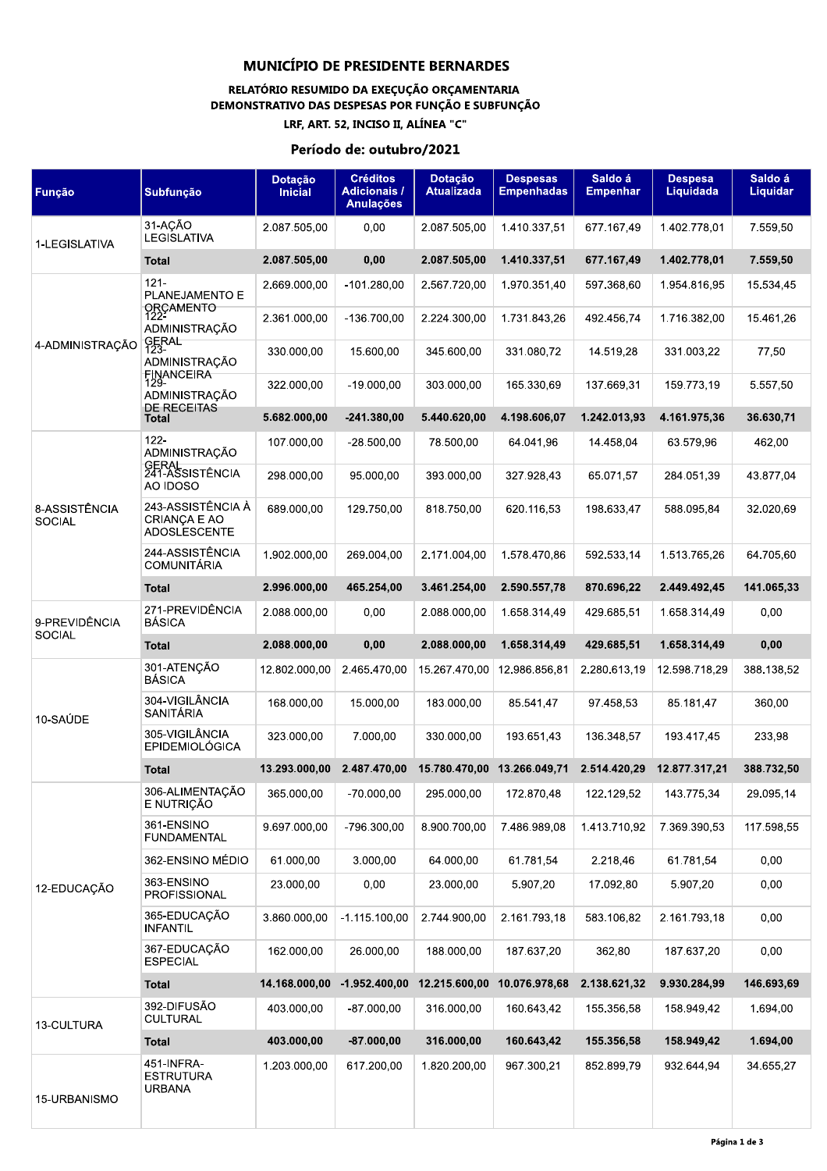# RELATÓRIO RESUMIDO DA EXEÇUÇÃO ORÇAMENTARIA DEMONSTRATIVO DAS DESPESAS POR FUNÇÃO E SUBFUNÇÃO

LRF, ART. 52, INCISO II, ALÍNEA "C"

#### Período de: outubro/2021

| Função                         | Subfunção                                                       | Dotação<br><b>Inicial</b> | <b>Créditos</b><br><b>Adicionais /</b><br><b>Anulações</b> | <b>Dotação</b><br><b>Atualizada</b> | <b>Despesas</b><br><b>Empenhadas</b> | Saldo á<br><b>Empenhar</b> | <b>Despesa</b><br>Liquidada | Saldo á<br>Liquidar |
|--------------------------------|-----------------------------------------------------------------|---------------------------|------------------------------------------------------------|-------------------------------------|--------------------------------------|----------------------------|-----------------------------|---------------------|
| 1-LEGISLATIVA                  | 31-AÇÃO<br><b>LEGISLATIVA</b>                                   | 2.087.505,00              | 0,00                                                       | 2.087.505,00                        | 1.410.337,51                         | 677.167,49                 | 1.402.778,01                | 7.559,50            |
|                                | Total                                                           | 2.087.505,00              | 0,00                                                       | 2.087.505,00                        | 1.410.337,51                         | 677.167,49                 | 1.402.778,01                | 7.559,50            |
|                                | $121 -$<br>PLANEJAMENTO E                                       | 2.669.000,00              | $-101.280,00$                                              | 2.567.720,00                        | 1.970.351,40                         | 597.368,60                 | 1.954.816,95                | 15.534,45           |
|                                | ORÇAMENTO<br>122-<br>ADMINISTRAÇÃO                              | 2.361.000,00              | -136.700,00                                                | 2.224.300,00                        | 1.731.843,26                         | 492.456,74                 | 1.716.382,00                | 15.461,26           |
| 4-ADMINISTRAÇÃO                | SERAL<br>123<br>ADMINISTRAÇÃO                                   | 330.000,00                | 15.600,00                                                  | 345.600,00                          | 331.080,72                           | 14.519.28                  | 331.003,22                  | 77,50               |
|                                | FINANCEIRA<br>129-<br>ADMINISTRAÇÃO<br><b>DE RECEITAS</b>       | 322.000,00                | $-19.000,00$                                               | 303.000,00                          | 165.330,69                           | 137.669,31                 | 159.773,19                  | 5.557,50            |
|                                | Total                                                           | 5.682.000,00              | $-241.380,00$                                              | 5.440.620,00                        | 4.198.606,07                         | 1.242.013,93               | 4.161.975,36                | 36.630,71           |
|                                | $122 -$<br>ADMINISTRAÇÃO                                        | 107.000.00                | $-28.500,00$                                               | 78.500.00                           | 64.041,96                            | 14.458,04                  | 63.579,96                   | 462,00              |
|                                | GERAL<br>241-ASSISTÊNCIA<br>AO IDOSO                            | 298.000,00                | 95.000,00                                                  | 393.000,00                          | 327.928,43                           | 65.071,57                  | 284.051,39                  | 43.877,04           |
| 8-ASSISTÊNCIA<br><b>SOCIAL</b> | 243-ASSISTÊNCIA À<br><b>CRIANCA E AO</b><br><b>ADOSLESCENTE</b> | 689.000.00                | 129.750,00                                                 | 818.750,00                          | 620.116,53                           | 198.633,47                 | 588.095,84                  | 32.020,69           |
|                                | 244-ASSISTÊNCIA<br><b>COMUNITÁRIA</b>                           | 1.902.000,00              | 269.004,00                                                 | 2.171.004,00                        | 1.578.470.86                         | 592.533,14                 | 1.513.765,26                | 64.705,60           |
|                                | <b>Total</b>                                                    | 2.996.000,00              | 465.254,00                                                 | 3.461.254,00                        | 2.590.557,78                         | 870.696,22                 | 2.449.492,45                | 141.065,33          |
| 9-PREVIDÊNCIA<br><b>SOCIAL</b> | 271-PREVIDÊNCIA<br><b>BÁSICA</b>                                | 2.088.000,00              | 0,00                                                       | 2.088.000,00                        | 1.658.314.49                         | 429.685,51                 | 1.658.314.49                | 0,00                |
|                                | Total                                                           | 2.088.000,00              | 0,00                                                       | 2.088.000,00                        | 1.658.314,49                         | 429.685,51                 | 1.658.314,49                | 0,00                |
|                                | 301-ATENÇÃO<br><b>BÁSICA</b>                                    | 12.802.000,00             | 2.465.470,00                                               | 15.267.470,00                       | 12.986.856,81                        | 2.280.613,19               | 12.598.718,29               | 388.138,52          |
| 10-SAÚDE                       | 304-VIGILÂNCIA<br>SANITÁRIA                                     | 168.000,00                | 15.000,00                                                  | 183.000,00                          | 85.541,47                            | 97.458,53                  | 85.181,47                   | 360,00              |
|                                | 305-VIGILÂNCIA<br><b>EPIDEMIOLÓGICA</b>                         | 323.000.00                | 7.000.00                                                   | 330.000,00                          | 193.651,43                           | 136.348,57                 | 193.417,45                  | 233,98              |
|                                | <b>Total</b>                                                    | 13.293.000,00             | 2.487.470,00                                               |                                     | 15.780.470.00 13.266.049.71          | 2.514.420,29               | 12.877.317.21               | 388.732,50          |
|                                | 306-ALIMENTAÇÃO<br>E NUTRIÇÃO                                   | 365.000,00                | $-70.000.00$                                               | 295.000.00                          | 172.870,48                           | 122.129,52                 | 143.775,34                  | 29.095,14           |
|                                | 361-ENSINO<br><b>FUNDAMENTAL</b>                                | 9.697.000,00              | -796.300,00                                                | 8.900.700,00                        | 7.486.989,08                         | 1.413.710,92               | 7.369.390,53                | 117.598,55          |
|                                | 362-ENSINO MÉDIO                                                | 61.000,00                 | 3.000,00                                                   | 64.000,00                           | 61.781,54                            | 2.218,46                   | 61.781.54                   | 0,00                |
| 12-EDUCAÇÃO                    | 363-ENSINO<br>PROFISSIONAL                                      | 23.000,00                 | 0,00                                                       | 23.000,00                           | 5.907,20                             | 17.092,80                  | 5.907,20                    | 0,00                |
|                                | 365-EDUCAÇÃO<br><b>INFANTIL</b>                                 | 3.860.000.00              | $-1.115.100,00$                                            | 2.744.900,00                        | 2.161.793,18                         | 583.106.82                 | 2.161.793,18                | 0,00                |
|                                | 367-EDUCAÇÃO<br><b>ESPECIAL</b>                                 | 162.000,00                | 26.000,00                                                  | 188.000,00                          | 187.637,20                           | 362,80                     | 187.637,20                  | 0,00                |
|                                | <b>Total</b>                                                    | 14.168.000,00             | $-1.952.400,00$                                            | 12.215.600,00                       | 10.076.978,68                        | 2.138.621,32               | 9.930.284,99                | 146.693,69          |
| 13-CULTURA                     | 392-DIFUSÃO<br><b>CULTURAL</b>                                  | 403.000,00                | $-87.000,00$                                               | 316.000,00                          | 160.643,42                           | 155.356,58                 | 158.949,42                  | 1.694,00            |
|                                | <b>Total</b>                                                    | 403.000,00                | $-87.000,00$                                               | 316.000,00                          | 160.643,42                           | 155.356,58                 | 158.949,42                  | 1.694,00            |
| 15-URBANISMO                   | 451-INFRA-<br><b>ESTRUTURA</b><br><b>URBANA</b>                 | 1.203.000,00              | 617.200,00                                                 | 1.820.200,00                        | 967.300,21                           | 852.899,79                 | 932.644,94                  | 34.655,27           |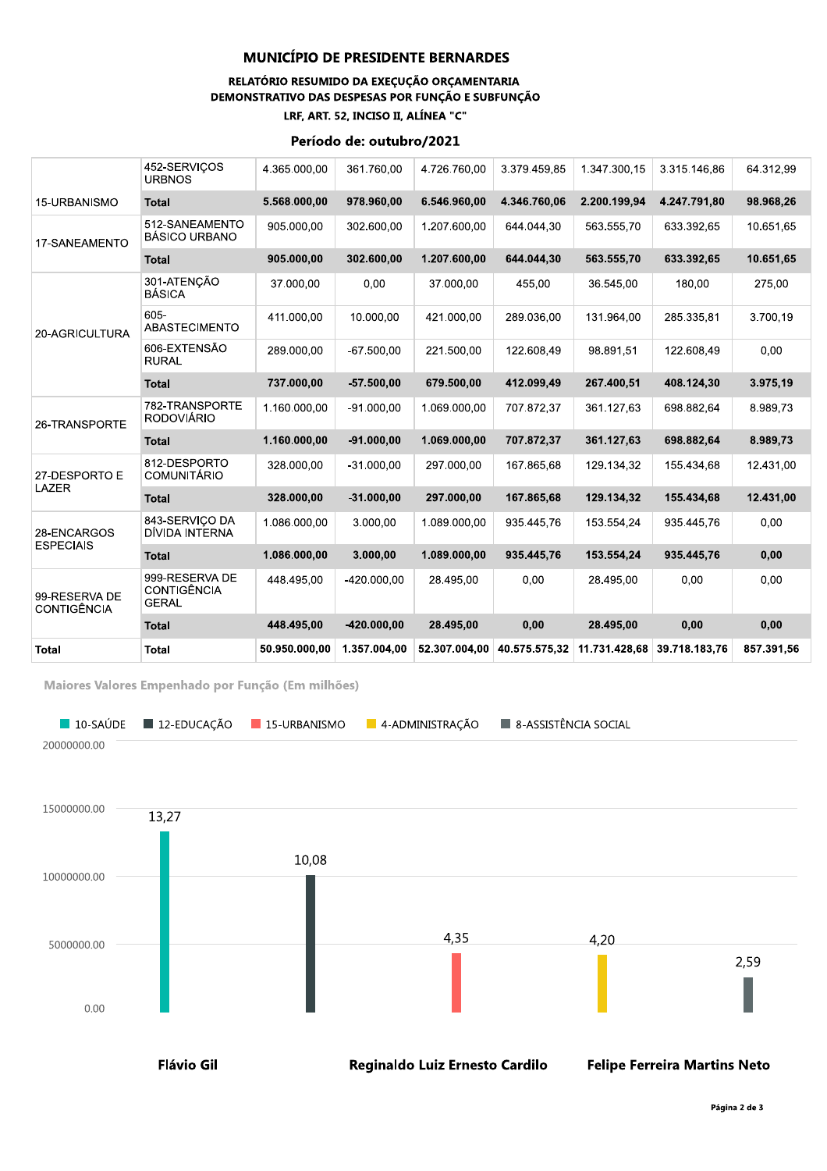#### RELATÓRIO RESUMIDO DA EXEÇUÇÃO ORÇAMENTARIA DEMONSTRATIVO DAS DESPESAS POR FUNÇÃO E SUBFUNÇÃO LRF, ART. 52, INCISO II, ALÍNEA "C"

#### Período de: outubro/2021

| <b>Total</b>                 | <b>Total</b>                                  | 50.950.000.00 | 1.357.004.00  | 52.307.004.00 | 40.575.575.32 | 11.731.428.68 | 39.718.183.76 | 857.391.56 |
|------------------------------|-----------------------------------------------|---------------|---------------|---------------|---------------|---------------|---------------|------------|
|                              | <b>Total</b>                                  | 448.495.00    | $-420.000.00$ | 28.495.00     | 0,00          | 28.495,00     | 0,00          | 0,00       |
| 99-RESERVA DE<br>CONTIGÊNCIA | 999-RESERVA DE<br>CONTIGÊNCIA<br><b>GERAL</b> | 448.495.00    | $-420.000.00$ | 28.495.00     | 0.00          | 28.495.00     | 0.00          | 0.00       |
| <b>ESPECIAIS</b>             | <b>Total</b>                                  | 1.086.000.00  | 3.000,00      | 1.089.000.00  | 935.445.76    | 153.554.24    | 935.445.76    | 0,00       |
| 28-ENCARGOS                  | 843-SERVICO DA<br>DÍVIDA INTERNA              | 1.086.000.00  | 3.000.00      | 1.089.000.00  | 935.445,76    | 153.554,24    | 935.445,76    | 0,00       |
| LAZER                        | <b>Total</b>                                  | 328.000.00    | $-31.000,00$  | 297.000,00    | 167.865,68    | 129.134,32    | 155.434,68    | 12.431,00  |
| 27-DESPORTO E                | 812-DESPORTO<br><b>COMUNITÁRIO</b>            | 328.000.00    | $-31.000.00$  | 297.000.00    | 167.865.68    | 129.134.32    | 155.434.68    | 12.431.00  |
|                              | <b>Total</b>                                  | 1.160.000.00  | $-91.000.00$  | 1.069.000.00  | 707.872.37    | 361.127,63    | 698.882.64    | 8.989,73   |
| 26-TRANSPORTE                | 782-TRANSPORTE<br><b>RODOVIÁRIO</b>           | 1.160.000.00  | $-91.000,00$  | 1.069.000,00  | 707.872,37    | 361.127,63    | 698.882,64    | 8.989,73   |
|                              | <b>Total</b>                                  | 737.000.00    | $-57.500.00$  | 679.500.00    | 412.099.49    | 267.400.51    | 408.124.30    | 3.975,19   |
|                              | 606-EXTENSÃO<br><b>RURAL</b>                  | 289.000.00    | $-67.500.00$  | 221.500,00    | 122.608.49    | 98.891.51     | 122.608.49    | 0.00       |
| 20-AGRICULTURA               | 605-<br><b>ABASTECIMENTO</b>                  | 411.000.00    | 10.000.00     | 421.000.00    | 289.036.00    | 131.964.00    | 285.335.81    | 3.700.19   |
|                              | 301-ATENCÃO<br><b>BÁSICA</b>                  | 37.000,00     | 0,00          | 37.000,00     | 455,00        | 36.545,00     | 180,00        | 275,00     |
|                              | <b>Total</b>                                  | 905.000.00    | 302.600.00    | 1.207.600.00  | 644.044.30    | 563.555,70    | 633.392.65    | 10.651,65  |
| 17-SANEAMENTO                | 512-SANEAMENTO<br><b>BÁSICO URBANO</b>        | 905.000.00    | 302.600.00    | 1.207.600.00  | 644.044.30    | 563.555.70    | 633.392,65    | 10.651.65  |
| 15-URBANISMO                 | <b>Total</b>                                  | 5.568.000,00  | 978.960,00    | 6.546.960,00  | 4.346.760,06  | 2.200.199,94  | 4.247.791,80  | 98.968,26  |
|                              | 452-SERVICOS<br><b>URBNOS</b>                 | 4.365.000.00  | 361.760.00    | 4.726.760.00  | 3.379.459,85  | 1.347.300.15  | 3.315.146.86  | 64.312.99  |
|                              |                                               |               |               |               |               |               |               |            |

Maiores Valores Empenhado por Função (Em milhões)

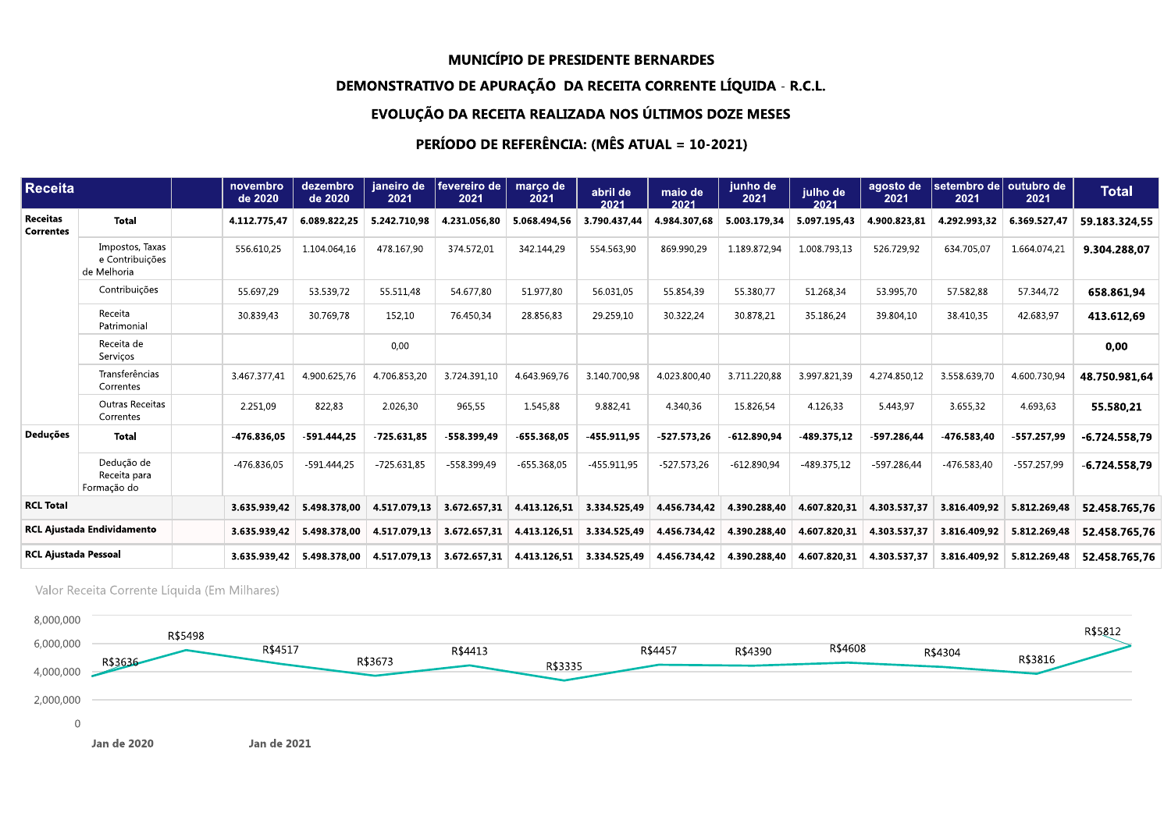## DEMONSTRATIVO DE APURAÇÃO. DA RECEITA CORRENTE LIQUIDA - R.C.L.

# EVOLUÇÃO DA RECEITA REALIZADA NOS ULTIMOS DOZE MESES

# PERIODO DE REFEREN<mark>(</mark>

|                              |                                                   |                     |                                          |                    |                        |                  | <b>MUNICIPIO DE PRESIDENTE BERNARDES</b>                       |                 |                                                     |                  |                  |                                           |                             |                                                                                                                                                      |
|------------------------------|---------------------------------------------------|---------------------|------------------------------------------|--------------------|------------------------|------------------|----------------------------------------------------------------|-----------------|-----------------------------------------------------|------------------|------------------|-------------------------------------------|-----------------------------|------------------------------------------------------------------------------------------------------------------------------------------------------|
|                              |                                                   |                     |                                          |                    |                        |                  | DEMONSTRATIVO DE APURAÇÃO DA RECEITA CORRENTE LÍQUIDA - R.C.L. |                 |                                                     |                  |                  |                                           |                             |                                                                                                                                                      |
|                              |                                                   |                     |                                          |                    |                        |                  | EVOLUÇÃO DA RECEITA REALIZADA NOS ÚLTIMOS DOZE MESES           |                 |                                                     |                  |                  |                                           |                             |                                                                                                                                                      |
|                              |                                                   |                     |                                          |                    |                        |                  | PERÍODO DE REFERÊNCIA: (MÊS ATUAL = 10-2021)                   |                 |                                                     |                  |                  |                                           |                             |                                                                                                                                                      |
| <b>Receita</b>               |                                                   | novembro<br>de 2020 | dezembro<br>de 2020                      | janeiro de<br>2021 | fevereiro de  <br>2021 | março de<br>2021 | abril de<br>2021                                               | maio de<br>2021 | junho de<br>2021                                    | julho de<br>2021 | 2021             | agosto de Seetembro de outubro de<br>2021 | 2021                        | <b>Total</b>                                                                                                                                         |
| Receitas<br><b>Correntes</b> | <b>Total</b>                                      | 4.112.775,47        | 6.089.822,25                             | 5.242.710,98       | 4.231.056,80           | 5.068.494,56     | 3.790.437,44                                                   | 4.984.307,68    | 5.003.179,34                                        | 5.097.195,43     | 4.900.823,81     | 4.292.993,32                              | 6.369.527,47                | 59.183.324,55                                                                                                                                        |
|                              | Impostos, Taxas<br>e Contribuições<br>de Melhoria | 556.610,25          | 1.104.064,16                             | 478.167,90         | 374.572,01             | 342.144,29       | 554.563,90                                                     | 869.990,29      | 1.189.872,94                                        | 1.008.793,13     | 526.729,92       | 634.705,07                                | 1.664.074,21                | 9.304.288,07                                                                                                                                         |
|                              | Contribuições                                     | 55.697,29           | 53.539,72                                | 55.511,48          | 54.677,80              | 51.977,80        | 56.031,05                                                      | 55.854,39       | 55.380,77                                           | 51.268,34        | 53.995,70        | 57.582,88                                 | 57.344,72                   | 658.861,94                                                                                                                                           |
|                              | Receita<br>Patrimonial                            | 30.839,43           | 30.769,78                                | 152,10             | 76.450,34              | 28.856,83        | 29.259,10                                                      | 30.322,24       | 30.878,21                                           | 35.186,24        | 39.804,10        | 38.410,35                                 | 42.683,97                   | 413.612,69                                                                                                                                           |
|                              | Receita de<br>Serviços                            |                     |                                          | 0,00               |                        |                  |                                                                |                 |                                                     |                  |                  |                                           |                             | 0,00                                                                                                                                                 |
|                              | Transferências<br>Correntes                       | 3.467.377,41        | 4.900.625,76                             | 4.706.853,20       | 3.724.391,10           | 4.643.969,76     | 3.140.700,98                                                   | 4.023.800,40    | 3.711.220,88                                        | 3.997.821,39     | 4.274.850,12     | 3.558.639,70                              | 4.600.730,94                | 48.750.981,64                                                                                                                                        |
|                              | Outras Receitas<br>Correntes                      | 2.251,09            | 822,83                                   | 2.026,30           | 965,55                 | 1.545,88         | 9.882,41                                                       | 4.340,36        | 15.826,54                                           | 4.126,33         | 5.443,97         | 3.655,32                                  | 4.693,63                    | 55.580,21                                                                                                                                            |
| Deduções                     | <b>Total</b>                                      | 476.836,05          | -591.444,25                              | 725.631,85         | -558.399,49            | 655.368,05       | -455.911,95                                                    | $-527.573.26$   | -612.890,94                                         | -489.375,12      | -597.286,44      | 476.583,40                                | $-557.257,99$               | $-6.724.558,79$                                                                                                                                      |
|                              | Dedução de<br>Receita para<br>Formação do         | $-476.836,05$       | $-591.444,25$                            | $-725.631,85$      | -558.399,49            | $-655.368,05$    | $-455.911,95$                                                  | $-527.573,26$   | $-612.890,94$                                       | $-489.375,12$    | -597.286,44      | $-476.583,40$                             | -557.257,99                 | $-6.724.558,79$                                                                                                                                      |
| <b>RCL Total</b>             |                                                   | 3.635.939,42        | 5.498.378,00                             | 4.517.079,13       | 3.672.657,31           | 4.413.126.51     | 3.334.525,49                                                   | 4.456.734,42    | 4.390.288,40                                        | 4.607.820,31     | $ $ 4.303.537,37 |                                           | 3.816.409,92 5.812.269,48   | 52.458.765,76                                                                                                                                        |
|                              | <b>RCL Ajustada Endividamento</b>                 |                     | $3.635.939.42$ 5.498.378.00              | $ $ 4.517.079,13   | 3.672.657,31           |                  | 4.413.126,51 3.334.525,49                                      |                 | 4.456.734,42 4.390.288,40 4.607.820,31 4.303.537,37 |                  |                  |                                           | $3.816.409.92$ 5.812.269.48 | 52.458.765,76                                                                                                                                        |
| <b>RCL Ajustada Pessoal</b>  |                                                   |                     | $3.635.939.42$ 5.498.378.00 4.517.079.13 |                    |                        |                  |                                                                |                 |                                                     |                  |                  |                                           |                             | 3.672.657,31   4.413.126,51   3.334.525,49   4.456.734,42   4.390.288,40   4.607.820,31   4.303.537,37   3.816.409,92   5.812.269,48   52.458.765.76 |
|                              |                                                   |                     |                                          |                    |                        |                  |                                                                |                 |                                                     |                  |                  |                                           |                             |                                                                                                                                                      |

Valor Receita Corrente Líquida (Em Milhares)

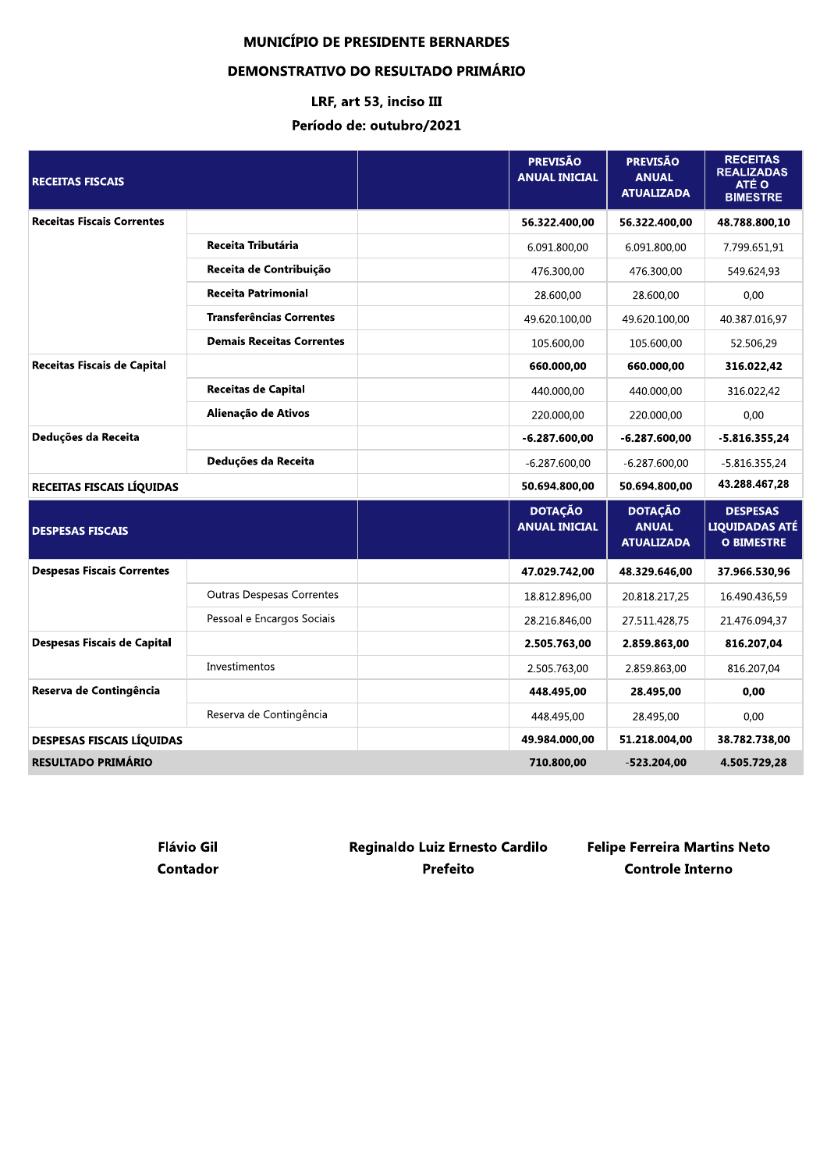#### **DEMONSTRATIVO DO RESULTADO PRIMÁRIO**

# LRF, art 53, inciso III Período de: outubro/2021

| <b>RECEITAS FISCAIS</b>            |                                  | <b>PREVISÃO</b><br><b>ANUAL INICIAL</b> | <b>PREVISÃO</b><br><b>ANUAL</b><br><b>ATUALIZADA</b> | <b>RECEITAS</b><br><b>REALIZADAS</b><br>ATÉ O<br><b>BIMESTRE</b> |
|------------------------------------|----------------------------------|-----------------------------------------|------------------------------------------------------|------------------------------------------------------------------|
| <b>Receitas Fiscais Correntes</b>  |                                  | 56.322.400,00                           | 56.322.400,00                                        | 48.788.800,10                                                    |
|                                    | Receita Tributária               | 6.091.800,00                            | 6.091.800,00                                         | 7.799.651,91                                                     |
|                                    | Receita de Contribuição          | 476.300.00                              | 476.300.00                                           | 549.624,93                                                       |
|                                    | <b>Receita Patrimonial</b>       | 28.600,00                               | 28.600,00                                            | 0.00                                                             |
|                                    | <b>Transferências Correntes</b>  | 49.620.100,00                           | 49.620.100,00                                        | 40.387.016,97                                                    |
|                                    | <b>Demais Receitas Correntes</b> | 105.600,00                              | 105.600,00                                           | 52.506,29                                                        |
| Receitas Fiscais de Capital        |                                  | 660.000.00                              | 660.000.00                                           | 316.022.42                                                       |
|                                    | <b>Receitas de Capital</b>       | 440.000,00                              | 440.000,00                                           | 316.022,42                                                       |
|                                    | Alienação de Ativos              | 220.000,00                              | 220.000,00                                           | 0,00                                                             |
| Deduções da Receita                |                                  | $-6.287.600.00$                         | $-6.287.600,00$                                      | $-5.816.355.24$                                                  |
|                                    | Deduções da Receita              | $-6.287.600,00$                         | $-6.287.600,00$                                      | $-5.816.355,24$                                                  |
| RECEITAS FISCAIS LÍQUIDAS          |                                  | 50.694.800,00                           | 50.694.800,00                                        | 43.288.467,28                                                    |
| <b>DESPESAS FISCAIS</b>            |                                  | <b>DOTAÇÃO</b><br><b>ANUAL INICIAL</b>  | <b>DOTAÇÃO</b><br><b>ANUAL</b><br><b>ATUALIZADA</b>  | <b>DESPESAS</b><br><b>LIQUIDADAS ATÉ</b><br><b>O BIMESTRE</b>    |
| <b>Despesas Fiscais Correntes</b>  |                                  | 47.029.742,00                           | 48.329.646,00                                        | 37.966.530,96                                                    |
|                                    | <b>Outras Despesas Correntes</b> | 18.812.896,00                           | 20.818.217,25                                        | 16.490.436,59                                                    |
|                                    | Pessoal e Encargos Sociais       | 28.216.846,00                           | 27.511.428,75                                        | 21.476.094,37                                                    |
| <b>Despesas Fiscais de Capital</b> |                                  | 2.505.763,00                            | 2.859.863,00                                         | 816.207,04                                                       |
|                                    | Investimentos                    | 2.505.763,00                            | 2.859.863,00                                         | 816.207.04                                                       |
| Reserva de Contingência            |                                  | 448.495.00                              | 28.495.00                                            | 0.00                                                             |
|                                    | Reserva de Contingência          | 448.495,00                              | 28.495,00                                            | 0,00                                                             |
| <b>DESPESAS FISCAIS LÍQUIDAS</b>   |                                  | 49.984.000.00                           | 51.218.004.00                                        | 38.782.738,00                                                    |
| <b>RESULTADO PRIMÁRIO</b>          |                                  | 710.800,00                              | $-523.204.00$                                        | 4.505.729.28                                                     |

Reginaldo Luiz Ernesto Cardilo **Flávio Gil Contador Prefeito** 

**Felipe Ferreira Martins Neto Controle Interno**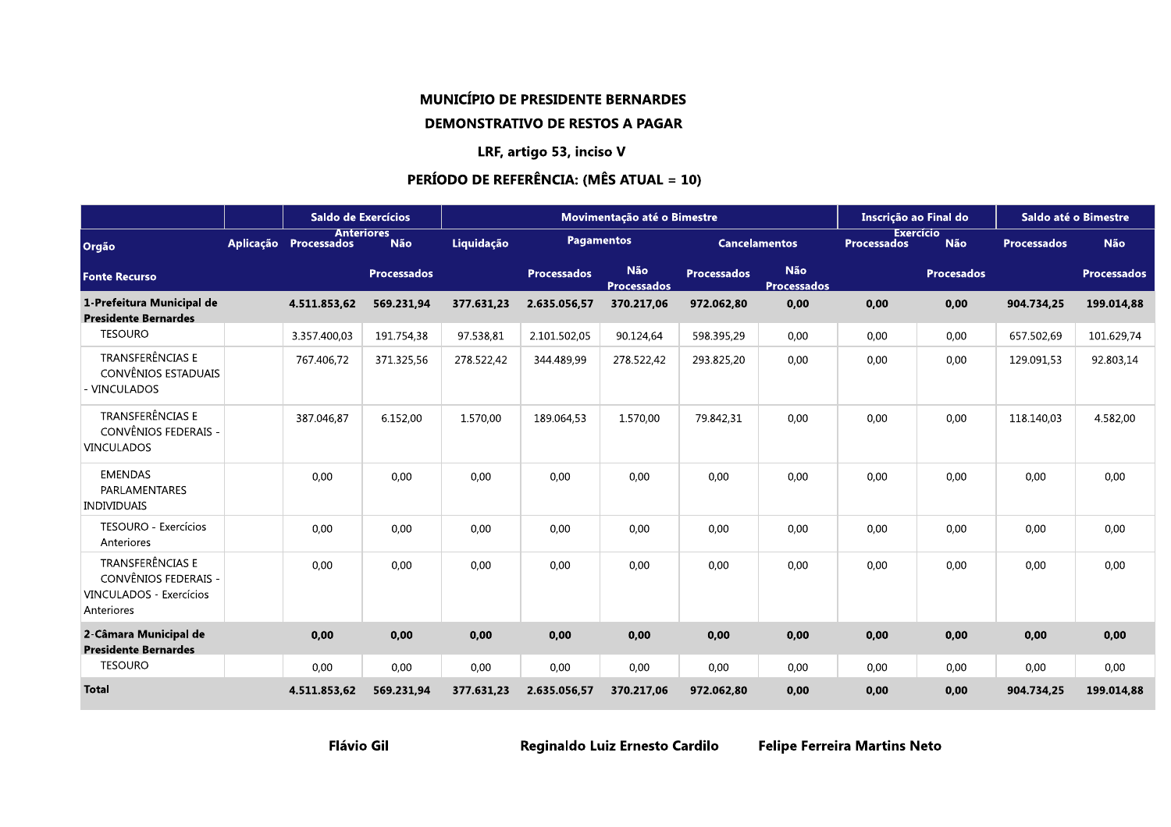# **MUNICÍPIO DE PRESIDENTE BERNARDES DEMONSTRATIVO DE RESTOS A PAGAR**

#### LRF, artigo 53, inciso V

## PERÍODO DE REFERÊNCIA: (MÊS ATUAL = 10)

|                                                                                   | Saldo de Exercícios   |                          |            |                    | Movimentação até o Bimestre |                    |                                  | Inscrição ao Final do |                                |                    | Saldo até o Bimestre |
|-----------------------------------------------------------------------------------|-----------------------|--------------------------|------------|--------------------|-----------------------------|--------------------|----------------------------------|-----------------------|--------------------------------|--------------------|----------------------|
| Orgão                                                                             | Aplicação Processados | <b>Anteriores</b><br>Não | Liquidação |                    | <b>Pagamentos</b>           |                    | <b>Cancelamentos</b>             | <b>Processados</b>    | <b>Exercício</b><br><b>Não</b> | <b>Processados</b> | <b>Não</b>           |
| <b>Fonte Recurso</b>                                                              |                       | <b>Processados</b>       |            | <b>Processados</b> | Não<br><b>Processados</b>   | <b>Processados</b> | <b>Não</b><br><b>Processados</b> |                       | <b>Procesados</b>              |                    | <b>Processados</b>   |
| 1-Prefeitura Municipal de<br><b>Presidente Bernardes</b>                          | 4.511.853,62          | 569.231,94               | 377.631,23 | 2.635.056,57       | 370.217,06                  | 972.062,80         | 0,00                             | 0,00                  | 0,00                           | 904.734,25         | 199.014,88           |
| <b>TESOURO</b>                                                                    | 3.357.400,03          | 191.754,38               | 97.538,81  | 2.101.502,05       | 90.124,64                   | 598.395,29         | 0,00                             | 0,00                  | 0,00                           | 657.502,69         | 101.629,74           |
| TRANSFERÊNCIAS E<br>CONVÊNIOS ESTADUAIS<br>- VINCULADOS                           | 767.406,72            | 371.325,56               | 278.522,42 | 344.489,99         | 278.522,42                  | 293.825,20         | 0,00                             | 0,00                  | 0,00                           | 129.091,53         | 92.803,14            |
| TRANSFERÊNCIAS E<br>CONVÊNIOS FEDERAIS -<br><b>VINCULADOS</b>                     | 387.046,87            | 6.152,00                 | 1.570,00   | 189.064,53         | 1.570,00                    | 79.842,31          | 0,00                             | 0,00                  | 0,00                           | 118.140,03         | 4.582,00             |
| <b>EMENDAS</b><br>PARLAMENTARES<br><b>INDIVIDUAIS</b>                             | 0,00                  | 0,00                     | 0,00       | 0,00               | 0,00                        | 0,00               | 0,00                             | 0,00                  | 0,00                           | 0,00               | 0,00                 |
| TESOURO - Exercícios<br>Anteriores                                                | 0,00                  | 0,00                     | 0,00       | 0,00               | 0,00                        | 0,00               | 0,00                             | 0,00                  | 0,00                           | 0,00               | 0,00                 |
| TRANSFERÊNCIAS E<br>CONVÊNIOS FEDERAIS -<br>VINCULADOS - Exercícios<br>Anteriores | 0,00                  | 0,00                     | 0,00       | 0,00               | 0,00                        | 0,00               | 0,00                             | 0,00                  | 0,00                           | 0,00               | 0,00                 |
| 2-Câmara Municipal de<br><b>Presidente Bernardes</b>                              | 0,00                  | 0,00                     | 0,00       | 0,00               | 0,00                        | 0,00               | 0,00                             | 0,00                  | 0,00                           | 0,00               | 0,00                 |
| <b>TESOURO</b>                                                                    | 0,00                  | 0,00                     | 0,00       | 0,00               | 0,00                        | 0,00               | 0,00                             | 0,00                  | 0,00                           | 0,00               | 0,00                 |
| <b>Total</b>                                                                      | 4.511.853,62          | 569.231,94               | 377.631,23 | 2.635.056,57       | 370.217,06                  | 972.062,80         | 0,00                             | 0,00                  | 0,00                           | 904.734,25         | 199.014,88           |

Reginaldo Luiz Ernesto Cardilo

**Felipe Ferreira Martins Neto**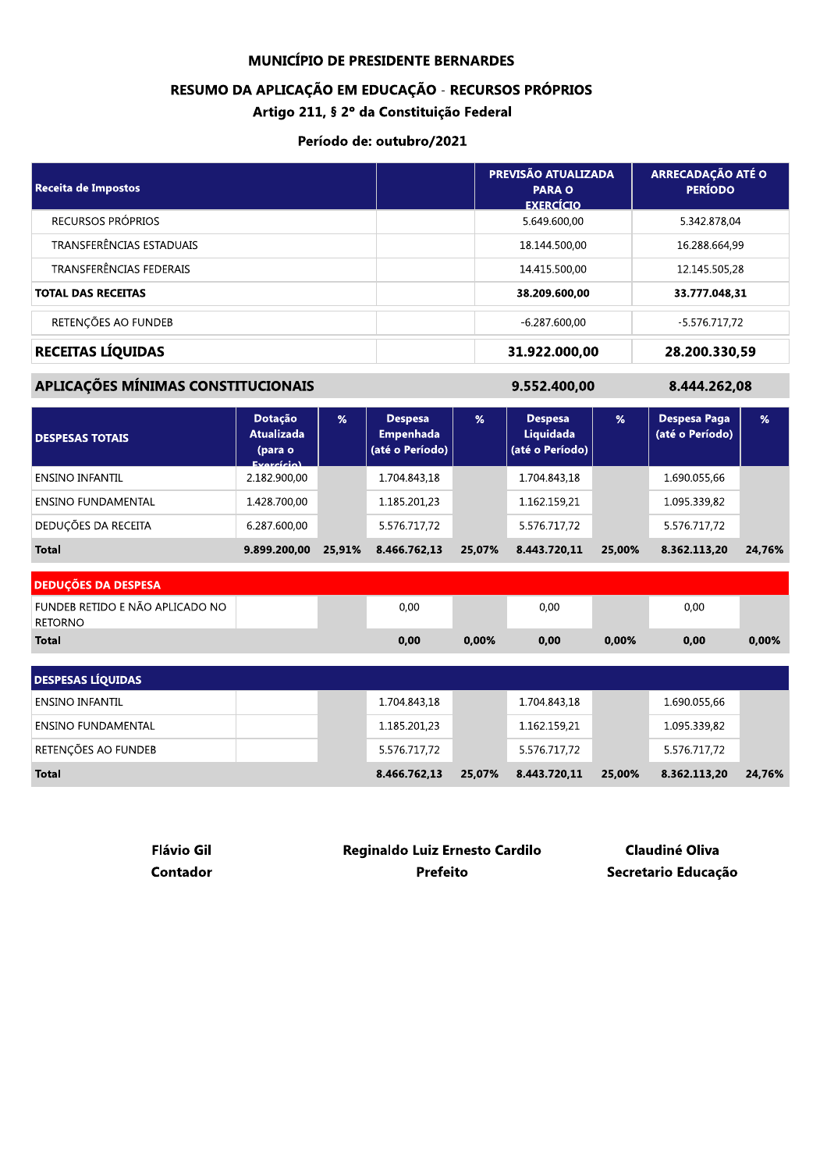#### RESUMO DA APLICAÇÃO EM EDUCAÇÃO - RECURSOS PRÓPRIOS

Artigo 211, § 2º da Constituição Federal

#### Período de: outubro/2021

| <b>Receita de Impostos</b> | PREVISÃO ATUALIZADA<br><b>PARA O</b><br><b>EXERCÍCIO</b> | <b>ARRECADAÇÃO ATÉ O</b><br><b>PERÍODO</b> |
|----------------------------|----------------------------------------------------------|--------------------------------------------|
| RECURSOS PRÓPRIOS          | 5.649.600.00                                             | 5.342.878,04                               |
| TRANSFERÊNCIAS ESTADUAIS   | 18.144.500,00                                            | 16.288.664,99                              |
| TRANSFERÊNCIAS FEDERAIS    | 14.415.500,00                                            | 12.145.505,28                              |
| <b>TOTAL DAS RECEITAS</b>  | 38.209.600.00                                            | 33.777.048.31                              |
| RETENÇÕES AO FUNDEB        | $-6.287.600.00$                                          | $-5.576.717.72$                            |
| RECEITAS LÍQUIDAS          | 31.922.000,00                                            | 28.200.330,59                              |

# APLICAÇÕES MÍNIMAS CONSTITUCIONAIS

9.552.400,00

8.444.262,08

| <b>DESPESAS TOTAIS</b>     | <b>Dotação</b><br><b>Atualizada</b><br>(para o<br><b>Evercício)</b> | $\frac{9}{6}$ | <b>Despesa</b><br><b>Empenhada</b><br>(até o Período) | %      | <b>Despesa</b><br>Liquidada<br>(até o Período) | %      | Despesa Paga<br>(até o Período) | %      |
|----------------------------|---------------------------------------------------------------------|---------------|-------------------------------------------------------|--------|------------------------------------------------|--------|---------------------------------|--------|
| <b>ENSINO INFANTIL</b>     | 2.182.900,00                                                        |               | 1.704.843,18                                          |        | 1.704.843,18                                   |        | 1.690.055.66                    |        |
| ENSINO FUNDAMENTAL         | 1.428.700.00                                                        |               | 1.185.201.23                                          |        | 1.162.159.21                                   |        | 1.095.339,82                    |        |
| <b>DEDUÇÕES DA RECEITA</b> | 6.287.600,00                                                        |               | 5.576.717.72                                          |        | 5.576.717.72                                   |        | 5.576.717.72                    |        |
| <b>Total</b>               | 9.899.200.00                                                        | 25,91%        | 8.466.762.13                                          | 25,07% | 8.443.720.11                                   | 25,00% | 8.362.113.20                    | 24,76% |

| <b>DEDUCOES DA DESPESA</b>                        |  |      |       |      |          |      |          |
|---------------------------------------------------|--|------|-------|------|----------|------|----------|
| FUNDEB RETIDO E NÃO APLICADO NO<br><b>RETORNO</b> |  | 0,00 |       | 0,00 |          | 0,00 |          |
| <b>Total</b>                                      |  | 0,00 | 0.00% | 0,00 | $0.00\%$ | 0,00 | $0.00\%$ |
|                                                   |  |      |       |      |          |      |          |

| <b>DESPESAS LÍQUIDAS</b> |  |              |        |              |        |              |        |
|--------------------------|--|--------------|--------|--------------|--------|--------------|--------|
| ENSINO INFANTIL          |  | 1.704.843,18 |        | 1.704.843,18 |        | 1.690.055,66 |        |
| ENSINO FUNDAMENTAL       |  | 1.185.201,23 |        | 1.162.159,21 |        | 1.095.339,82 |        |
| RETENÇÕES AO FUNDEB      |  | 5.576.717,72 |        | 5.576.717,72 |        | 5.576.717.72 |        |
| <b>Total</b>             |  | 8.466.762.13 | 25,07% | 8.443.720.11 | 25,00% | 8.362.113.20 | 24,76% |

| <b>Flávio Gil</b> | <b>Reginaldo Luiz Ernesto Cardilo</b> | Claudiné Oliva<br>Secretario Educação |  |
|-------------------|---------------------------------------|---------------------------------------|--|
| Contador          | Prefeito                              |                                       |  |